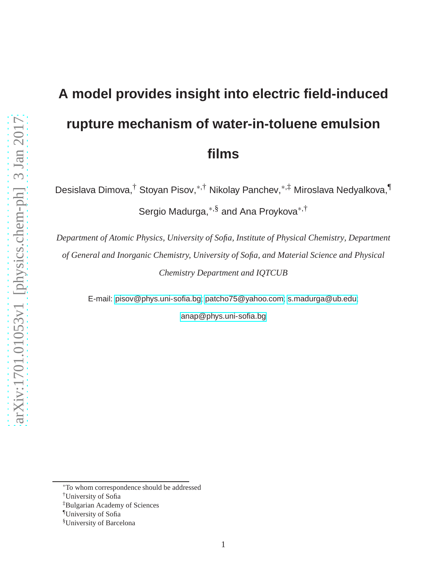# **A model provides insight into electric field-induced rupture mechanism of water-in-toluene emulsion films**

Desislava Dimova,† Stoyan Pisov,∗,† Nikolay Panchev,∗,‡ Miroslava Nedyalkova,¶ Sergio Madurga,∗,§ and Ana Proykova∗,†

*Department of Atomic Physics, University of Sofia, Institute of Physical Chemistry, Department of General and Inorganic Chemistry, University of Sofia, and Material Science and Physical Chemistry Department and IQTCUB*

E-mail: [pisov@phys.uni-sofia.bg;](pisov@phys.uni-sofia.bg) [patcho75@yahoo.com;](patcho75@yahoo.com) [s.madurga@ub.edu;](s.madurga@ub.edu)

<anap@phys.uni-sofia.bg>

<sup>∗</sup>To whom correspondence should be addressed

<sup>†</sup>University of Sofia

<sup>‡</sup>Bulgarian Academy of Sciences

<sup>¶</sup>University of Sofia

<sup>§</sup>University of Barcelona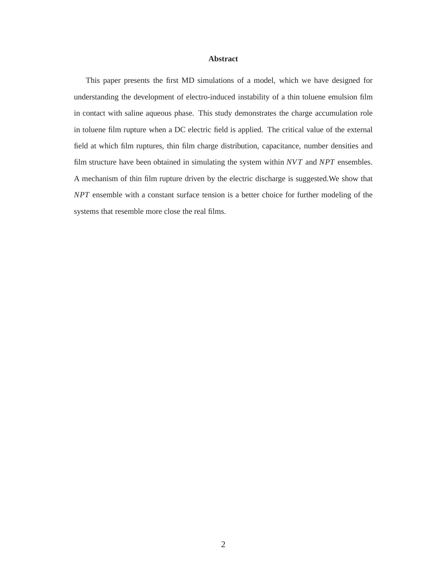#### **Abstract**

This paper presents the first MD simulations of a model, which we have designed for understanding the development of electro-induced instability of a thin toluene emulsion film in contact with saline aqueous phase. This study demonstrates the charge accumulation role in toluene film rupture when a DC electric field is applied. The critical value of the external field at which film ruptures, thin film charge distribution, capacitance, number densities and film structure have been obtained in simulating the system within *NV T* and *NPT* ensembles. A mechanism of thin film rupture driven by the electric discharge is suggested.We show that *NPT* ensemble with a constant surface tension is a better choice for further modeling of the systems that resemble more close the real films.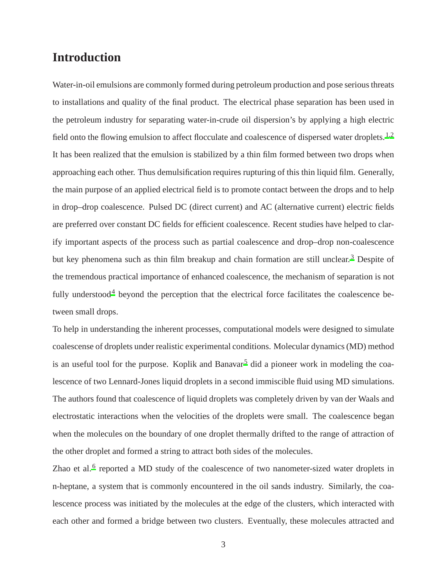## **Introduction**

Water-in-oil emulsions are commonly formed during petroleum production and pose serious threats to installations and quality of the final product. The electrical phase separation has been used in the petroleum industry for separating water-in-crude oil dispersion's by applying a high electric field onto the flowing emulsion to affect flocculate and coalescence of dispersed water droplets.<sup>[1](#page-16-0)[,2](#page-16-1)</sup> It has been realized that the emulsion is stabilized by a thin film formed between two drops when approaching each other. Thus demulsification requires rupturing of this thin liquid film. Generally, the main purpose of an applied electrical field is to promote contact between the drops and to help in drop–drop coalescence. Pulsed DC (direct current) and AC (alternative current) electric fields are preferred over constant DC fields for efficient coalescence. Recent studies have helped to clarify important aspects of the process such as partial coalescence and drop–drop non-coalescence but key phenomena such as thin film breakup and chain formation are still unclear.<sup>[3](#page-16-2)</sup> Despite of the tremendous practical importance of enhanced coalescence, the mechanism of separation is not fully understood<sup>[4](#page-16-3)</sup> beyond the perception that the electrical force facilitates the coalescence between small drops.

To help in understanding the inherent processes, computational models were designed to simulate coalescense of droplets under realistic experimental conditions. Molecular dynamics (MD) method is an useful tool for the purpose. Koplik and Banavar<sup>[5](#page-16-4)</sup> did a pioneer work in modeling the coalescence of two Lennard-Jones liquid droplets in a second immiscible fluid using MD simulations. The authors found that coalescence of liquid droplets was completely driven by van der Waals and electrostatic interactions when the velocities of the droplets were small. The coalescence began when the molecules on the boundary of one droplet thermally drifted to the range of attraction of the other droplet and formed a string to attract both sides of the molecules.

Zhao et al.<sup>[6](#page-16-5)</sup> reported a MD study of the coalescence of two nanometer-sized water droplets in n-heptane, a system that is commonly encountered in the oil sands industry. Similarly, the coalescence process was initiated by the molecules at the edge of the clusters, which interacted with each other and formed a bridge between two clusters. Eventually, these molecules attracted and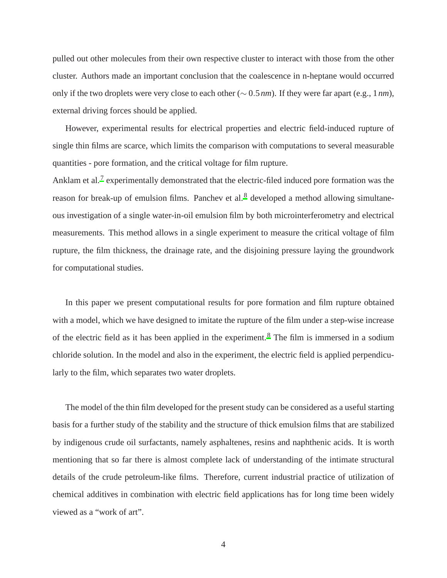pulled out other molecules from their own respective cluster to interact with those from the other cluster. Authors made an important conclusion that the coalescence in n-heptane would occurred only if the two droplets were very close to each other (∼ 0.5*nm*). If they were far apart (e.g., 1*nm*), external driving forces should be applied.

However, experimental results for electrical properties and electric field-induced rupture of single thin films are scarce, which limits the comparison with computations to several measurable quantities - pore formation, and the critical voltage for film rupture.

Anklam et al.<sup>[7](#page-16-6)</sup> experimentally demonstrated that the electric-filed induced pore formation was the reason for break-up of emulsion films. Panchev et al.<sup>[8](#page-16-7)</sup> developed a method allowing simultaneous investigation of a single water-in-oil emulsion film by both microinterferometry and electrical measurements. This method allows in a single experiment to measure the critical voltage of film rupture, the film thickness, the drainage rate, and the disjoining pressure laying the groundwork for computational studies.

In this paper we present computational results for pore formation and film rupture obtained with a model, which we have designed to imitate the rupture of the film under a step-wise increase of the electric field as it has been applied in the experiment.<sup>[8](#page-16-7)</sup> The film is immersed in a sodium chloride solution. In the model and also in the experiment, the electric field is applied perpendicularly to the film, which separates two water droplets.

The model of the thin film developed for the present study can be considered as a useful starting basis for a further study of the stability and the structure of thick emulsion films that are stabilized by indigenous crude oil surfactants, namely asphaltenes, resins and naphthenic acids. It is worth mentioning that so far there is almost complete lack of understanding of the intimate structural details of the crude petroleum-like films. Therefore, current industrial practice of utilization of chemical additives in combination with electric field applications has for long time been widely viewed as a "work of art".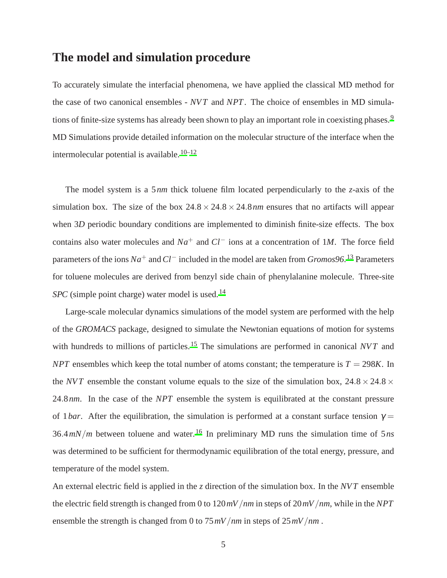## **The model and simulation procedure**

To accurately simulate the interfacial phenomena, we have applied the classical MD method for the case of two canonical ensembles - *NV T* and *NPT*. The choice of ensembles in MD simula-tions of finite-size systems has already been shown to play an important role in coexisting phases.<sup>[9](#page-16-8)</sup> MD Simulations provide detailed information on the molecular structure of the interface when the intermolecular potential is available.<sup>[10](#page-16-9)[–12](#page-16-10)</sup>

The model system is a 5*nm* thick toluene film located perpendicularly to the *z*-axis of the simulation box. The size of the box  $24.8 \times 24.8 \times 24.8$  *nm* ensures that no artifacts will appear when 3*D* periodic boundary conditions are implemented to diminish finite-size effects. The box contains also water molecules and *Na*<sup>+</sup> and *Cl*<sup>−</sup> ions at a concentration of 1*M*. The force field parameters of the ions *Na*<sup>+</sup> and*Cl*<sup>−</sup> included in the model are taken from *Gromos96*. <sup>13</sup> Parameters for toluene molecules are derived from benzyl side chain of phenylalanine molecule. Three-site *SPC* (simple point charge) water model is used.<sup>14</sup>

Large-scale molecular dynamics simulations of the model system are performed with the help of the *GROMACS* package, designed to simulate the Newtonian equations of motion for systems with hundreds to millions of particles.<sup>[15](#page-16-11)</sup> The simulations are performed in canonical *NVT* and *NPT* ensembles which keep the total number of atoms constant; the temperature is  $T = 298K$ . In the *NVT* ensemble the constant volume equals to the size of the simulation box,  $24.8 \times 24.8 \times$ 24.8*nm*. In the case of the *NPT* ensemble the system is equilibrated at the constant pressure of 1*bar*. After the equilibration, the simulation is performed at a constant surface tension  $\gamma$  =  $36.4 \, mN/m$  between toluene and water.<sup>[16](#page-17-0)</sup> In preliminary MD runs the simulation time of  $5 ns$ was determined to be sufficient for thermodynamic equilibration of the total energy, pressure, and temperature of the model system.

An external electric field is applied in the *z* direction of the simulation box. In the *NV T* ensemble the electric field strength is changed from 0 to 120*mV*/*nm* in steps of 20*mV*/*nm*, while in the *NPT* ensemble the strength is changed from 0 to 75*mV*/*nm* in steps of 25*mV*/*nm* .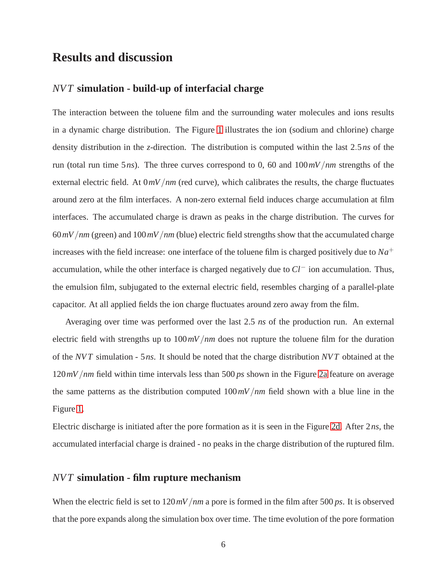## **Results and discussion**

#### *NV T* **simulation - build-up of interfacial charge**

The interaction between the toluene film and the surrounding water molecules and ions results in a dynamic charge distribution. The Figure [1](#page-6-0) illustrates the ion (sodium and chlorine) charge density distribution in the *z*-direction. The distribution is computed within the last 2.5*ns* of the run (total run time 5*ns*). The three curves correspond to 0, 60 and 100*mV*/*nm* strengths of the external electric field. At 0*mV*/*nm* (red curve), which calibrates the results, the charge fluctuates around zero at the film interfaces. A non-zero external field induces charge accumulation at film interfaces. The accumulated charge is drawn as peaks in the charge distribution. The curves for 60*mV*/*nm* (green) and 100*mV*/*nm* (blue) electric field strengths show that the accumulated charge increases with the field increase: one interface of the toluene film is charged positively due to  $Na<sup>+</sup>$ accumulation, while the other interface is charged negatively due to *Cl*<sup>−</sup> ion accumulation. Thus, the emulsion film, subjugated to the external electric field, resembles charging of a parallel-plate capacitor. At all applied fields the ion charge fluctuates around zero away from the film.

Averaging over time was performed over the last 2.5 *ns* of the production run. An external electric field with strengths up to 100*mV*/*nm* does not rupture the toluene film for the duration of the *NV T* simulation - 5*ns*. It should be noted that the charge distribution *NV T* obtained at the 120*mV*/*nm* field within time intervals less than 500 *ps* shown in the Figure [2a](#page-7-0) feature on average the same patterns as the distribution computed 100*mV*/*nm* field shown with a blue line in the Figure [1.](#page-6-0)

Electric discharge is initiated after the pore formation as it is seen in the Figure [2d.](#page-7-0) After 2*ns*, the accumulated interfacial charge is drained - no peaks in the charge distribution of the ruptured film.

#### *NV T* **simulation - film rupture mechanism**

When the electric field is set to 120*mV*/*nm* a pore is formed in the film after 500 *ps*. It is observed that the pore expands along the simulation box over time. The time evolution of the pore formation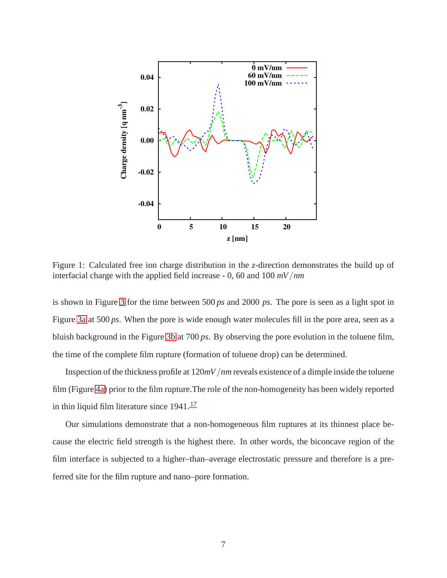<span id="page-6-0"></span>

Figure 1: Calculated free ion charge distribution in the *z*-direction demonstrates the build up of interfacial charge with the applied field increase - 0, 60 and 100 *mV*/*nm*

is shown in Figure [3](#page-8-0) for the time between 500 *ps* and 2000 *ps*. The pore is seen as a light spot in Figure [3a](#page-8-0) at 500 *ps*. When the pore is wide enough water molecules fill in the pore area, seen as a bluish background in the Figure [3b](#page-8-0) at 700 *ps*. By observing the pore evolution in the toluene film, the time of the complete film rupture (formation of toluene drop) can be determined.

Inspection of the thickness profile at 120*mV*/*nm* reveals existence of a dimple inside the toluene film (Figure [4a\)](#page-9-0) prior to the film rupture.The role of the non-homogeneity has been widely reported in thin liquid film literature since  $1941$ .<sup>[17](#page-17-1)</sup>

Our simulations demonstrate that a non-homogeneous film ruptures at its thinnest place because the electric field strength is the highest there. In other words, the biconcave region of the film interface is subjected to a higher–than–average electrostatic pressure and therefore is a preferred site for the film rupture and nano–pore formation.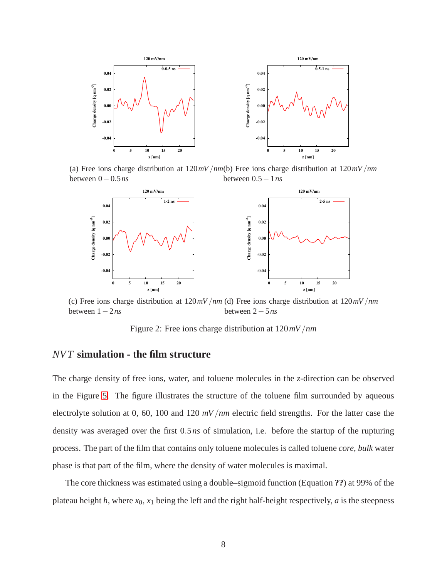<span id="page-7-0"></span>

(a) Free ions charge distribution at 120*mV*/*nm* (b) Free ions charge distribution at 120*mV*/*nm* between 0−0.5*ns* between 0.5−1*ns*



(c) Free ions charge distribution at 120*mV*/*nm* (d) Free ions charge distribution at 120*mV*/*nm* between 1−2*ns* between 2−5*ns*

Figure 2: Free ions charge distribution at 120*mV*/*nm*

### *NV T* **simulation - the film structure**

The charge density of free ions, water, and toluene molecules in the *z*-direction can be observed in the Figure [5.](#page-10-0) The figure illustrates the structure of the toluene film surrounded by aqueous electrolyte solution at 0, 60, 100 and 120 *mV*/*nm* electric field strengths. For the latter case the density was averaged over the first 0.5*ns* of simulation, i.e. before the startup of the rupturing process. The part of the film that contains only toluene molecules is called toluene *core*, *bulk* water phase is that part of the film, where the density of water molecules is maximal.

The core thickness was estimated using a double–sigmoid function (Equation **??**) at 99% of the plateau height  $h$ , where  $x_0$ ,  $x_1$  being the left and the right half-height respectively,  $a$  is the steepness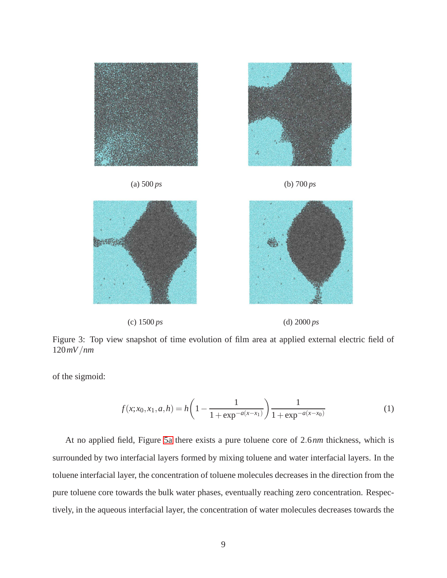<span id="page-8-0"></span>



(c) 1500 *ps* (d) 2000 *ps*

Figure 3: Top view snapshot of time evolution of film area at applied external electric field of 120*mV*/*nm*

of the sigmoid:

$$
f(x; x_0, x_1, a, h) = h\left(1 - \frac{1}{1 + \exp^{-a(x - x_1)}}\right) \frac{1}{1 + \exp^{-a(x - x_0)}}
$$
(1)

At no applied field, Figure [5a](#page-10-0) there exists a pure toluene core of 2.6*nm* thickness, which is surrounded by two interfacial layers formed by mixing toluene and water interfacial layers. In the toluene interfacial layer, the concentration of toluene molecules decreases in the direction from the pure toluene core towards the bulk water phases, eventually reaching zero concentration. Respectively, in the aqueous interfacial layer, the concentration of water molecules decreases towards the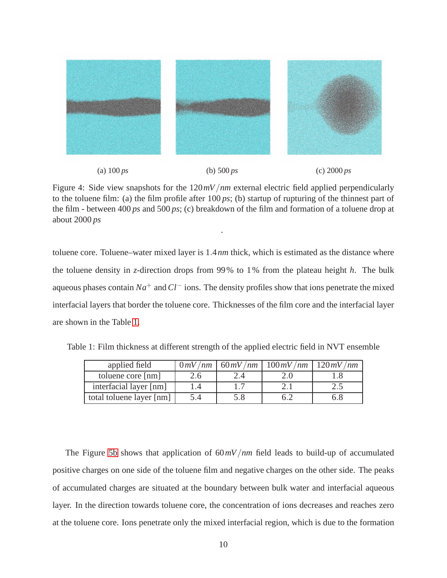<span id="page-9-0"></span>

(a) 100 *ps* (b) 500 *ps* (c) 2000 *ps*

Figure 4: Side view snapshots for the 120*mV*/*nm* external electric field applied perpendicularly to the toluene film: (a) the film profile after 100 *ps*; (b) startup of rupturing of the thinnest part of the film - between 400 *ps* and 500 *ps*; (c) breakdown of the film and formation of a toluene drop at about 2000 *ps*

.

toluene core. Toluene–water mixed layer is 1.4*nm* thick, which is estimated as the distance where the toluene density in *z*-direction drops from 99% to 1% from the plateau height *h*. The bulk aqueous phases contain *Na*<sup>+</sup> and*Cl*<sup>−</sup> ions. The density profiles show that ions penetrate the mixed interfacial layers that border the toluene core. Thicknesses of the film core and the interfacial layer are shown in the Table [1.](#page-9-1)

| applied field            | 0mV/nm        |             | $60 mV/nm$   $100 mV/nm$   $120 mV/nm$ |     |
|--------------------------|---------------|-------------|----------------------------------------|-----|
| toluene core [nm]        | $2.6^{\circ}$ | $\angle .4$ |                                        |     |
| interfacial layer [nm]   |               |             |                                        | 2.J |
| total toluene layer [nm] | 5.4           | 5.8         |                                        | ნ.პ |

<span id="page-9-1"></span>Table 1: Film thickness at different strength of the applied electric field in NVT ensemble

The Figure [5b](#page-10-0) shows that application of 60*mV*/*nm* field leads to build-up of accumulated positive charges on one side of the toluene film and negative charges on the other side. The peaks of accumulated charges are situated at the boundary between bulk water and interfacial aqueous layer. In the direction towards toluene core, the concentration of ions decreases and reaches zero at the toluene core. Ions penetrate only the mixed interfacial region, which is due to the formation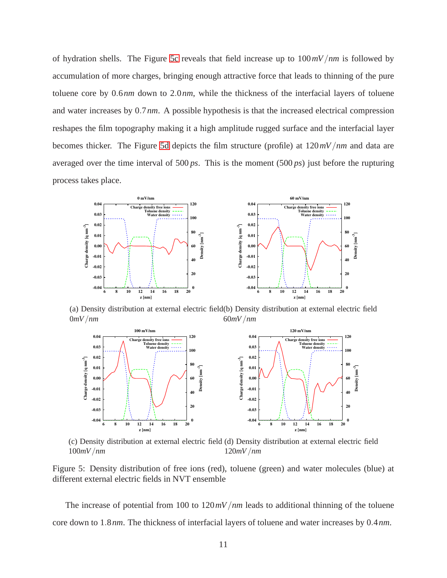of hydration shells. The Figure [5c](#page-10-0) reveals that field increase up to 100*mV*/*nm* is followed by accumulation of more charges, bringing enough attractive force that leads to thinning of the pure toluene core by 0.6*nm* down to 2.0*nm*, while the thickness of the interfacial layers of toluene and water increases by 0.7*nm*. A possible hypothesis is that the increased electrical compression reshapes the film topography making it a high amplitude rugged surface and the interfacial layer becomes thicker. The Figure [5d](#page-10-0) depicts the film structure (profile) at 120*mV*/*nm* and data are averaged over the time interval of 500 *ps*. This is the moment (500 *ps*) just before the rupturing process takes place.

<span id="page-10-0"></span>

(a) Density distribution at external electric field (b) Density distribution at external electric field 0*mV*/*nm* 60*mV*/*nm*



(c) Density distribution at external electric field (d) Density distribution at external electric field 100*mV*/*nm* 120*mV*/*nm*

Figure 5: Density distribution of free ions (red), toluene (green) and water molecules (blue) at different external electric fields in NVT ensemble

The increase of potential from 100 to 120*mV*/*nm* leads to additional thinning of the toluene core down to 1.8*nm*. The thickness of interfacial layers of toluene and water increases by 0.4*nm*.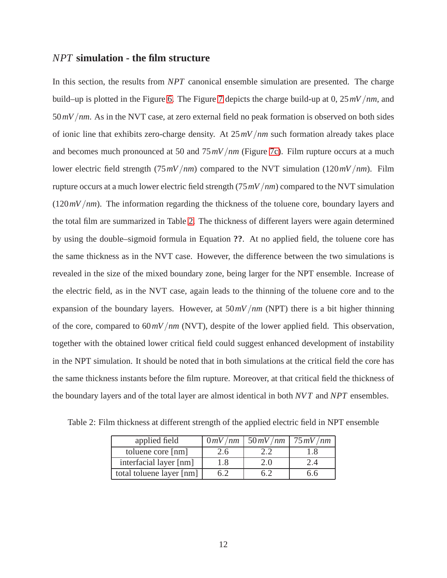#### *NPT* **simulation - the film structure**

In this section, the results from *NPT* canonical ensemble simulation are presented. The charge build–up is plotted in the Figure [6.](#page-12-0) The Figure [7](#page-12-1) depicts the charge build-up at 0, 25*mV*/*nm*, and 50*mV*/*nm*. As in the NVT case, at zero external field no peak formation is observed on both sides of ionic line that exhibits zero-charge density. At 25*mV*/*nm* such formation already takes place and becomes much pronounced at 50 and 75*mV*/*nm* (Figure [7c\)](#page-12-1). Film rupture occurs at a much lower electric field strength (75*mV*/*nm*) compared to the NVT simulation (120*mV*/*nm*). Film rupture occurs at a much lower electric field strength (75*mV*/*nm*) compared to the NVT simulation (120*mV*/*nm*). The information regarding the thickness of the toluene core, boundary layers and the total film are summarized in Table [2.](#page-11-0) The thickness of different layers were again determined by using the double–sigmoid formula in Equation **??**. At no applied field, the toluene core has the same thickness as in the NVT case. However, the difference between the two simulations is revealed in the size of the mixed boundary zone, being larger for the NPT ensemble. Increase of the electric field, as in the NVT case, again leads to the thinning of the toluene core and to the expansion of the boundary layers. However, at 50*mV*/*nm* (NPT) there is a bit higher thinning of the core, compared to 60*mV*/*nm* (NVT), despite of the lower applied field. This observation, together with the obtained lower critical field could suggest enhanced development of instability in the NPT simulation. It should be noted that in both simulations at the critical field the core has the same thickness instants before the film rupture. Moreover, at that critical field the thickness of the boundary layers and of the total layer are almost identical in both *NV T* and *NPT* ensembles.

| applied field            |    | $0 mV/nm$   50 mV /nm   75 mV /nm |  |
|--------------------------|----|-----------------------------------|--|
| toluene core [nm]        | 'h |                                   |  |
| interfacial layer [nm]   | .8 | 2.0                               |  |
| total toluene layer [nm] |    |                                   |  |

<span id="page-11-0"></span>Table 2: Film thickness at different strength of the applied electric field in NPT ensemble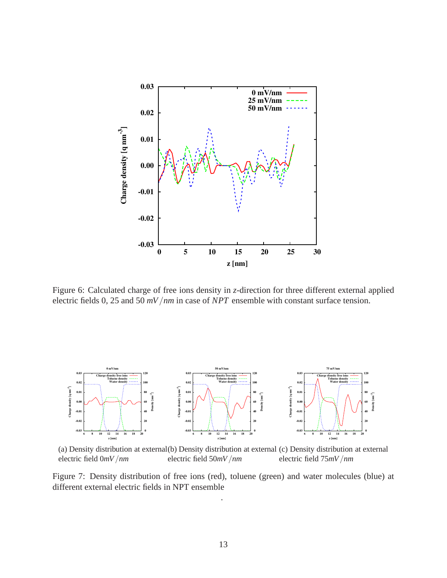<span id="page-12-0"></span>

Figure 6: Calculated charge of free ions density in *z*-direction for three different external applied electric fields 0, 25 and 50 *mV*/*nm* in case of *NPT* ensemble with constant surface tension.

<span id="page-12-1"></span>

(a) Density distribution at external(b) Density distribution at external (c) Density distribution at external electric field 0*mV*/*nm* electric field 50*mV*/*nm* electric field 75*mV*/*nm*

Figure 7: Density distribution of free ions (red), toluene (green) and water molecules (blue) at different external electric fields in NPT ensemble

.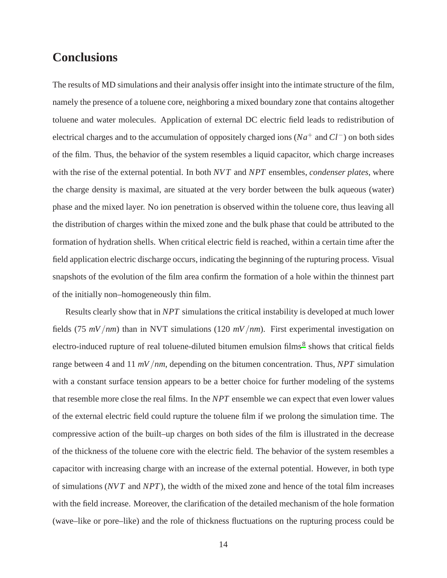## **Conclusions**

The results of MD simulations and their analysis offer insight into the intimate structure of the film, namely the presence of a toluene core, neighboring a mixed boundary zone that contains altogether toluene and water molecules. Application of external DC electric field leads to redistribution of electrical charges and to the accumulation of oppositely charged ions (*Na*<sup>+</sup> and *Cl*−) on both sides of the film. Thus, the behavior of the system resembles a liquid capacitor, which charge increases with the rise of the external potential. In both *NV T* and *NPT* ensembles, *condenser plates*, where the charge density is maximal, are situated at the very border between the bulk aqueous (water) phase and the mixed layer. No ion penetration is observed within the toluene core, thus leaving all the distribution of charges within the mixed zone and the bulk phase that could be attributed to the formation of hydration shells. When critical electric field is reached, within a certain time after the field application electric discharge occurs, indicating the beginning of the rupturing process. Visual snapshots of the evolution of the film area confirm the formation of a hole within the thinnest part of the initially non–homogeneously thin film.

Results clearly show that in *NPT* simulations the critical instability is developed at much lower fields (75 *mV*/*nm*) than in NVT simulations (120 *mV*/*nm*). First experimental investigation on electro-induced rupture of real toluene-diluted bitumen emulsion films<sup>[8](#page-16-7)</sup> shows that critical fields range between 4 and 11 *mV*/*nm*, depending on the bitumen concentration. Thus, *NPT* simulation with a constant surface tension appears to be a better choice for further modeling of the systems that resemble more close the real films. In the *NPT* ensemble we can expect that even lower values of the external electric field could rupture the toluene film if we prolong the simulation time. The compressive action of the built–up charges on both sides of the film is illustrated in the decrease of the thickness of the toluene core with the electric field. The behavior of the system resembles a capacitor with increasing charge with an increase of the external potential. However, in both type of simulations (*NV T* and *NPT*), the width of the mixed zone and hence of the total film increases with the field increase. Moreover, the clarification of the detailed mechanism of the hole formation (wave–like or pore–like) and the role of thickness fluctuations on the rupturing process could be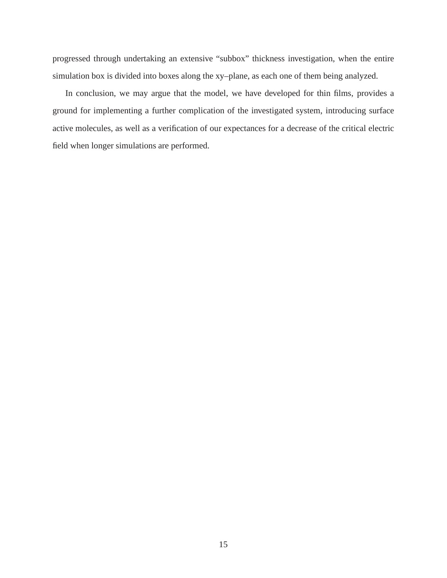progressed through undertaking an extensive "subbox" thickness investigation, when the entire simulation box is divided into boxes along the xy–plane, as each one of them being analyzed.

In conclusion, we may argue that the model, we have developed for thin films, provides a ground for implementing a further complication of the investigated system, introducing surface active molecules, as well as a verification of our expectances for a decrease of the critical electric field when longer simulations are performed.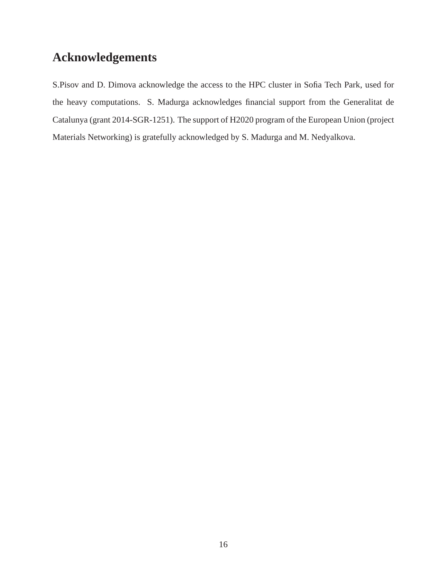## **Acknowledgements**

S.Pisov and D. Dimova acknowledge the access to the HPC cluster in Sofia Tech Park, used for the heavy computations. S. Madurga acknowledges financial support from the Generalitat de Catalunya (grant 2014-SGR-1251). The support of H2020 program of the European Union (project Materials Networking) is gratefully acknowledged by S. Madurga and M. Nedyalkova.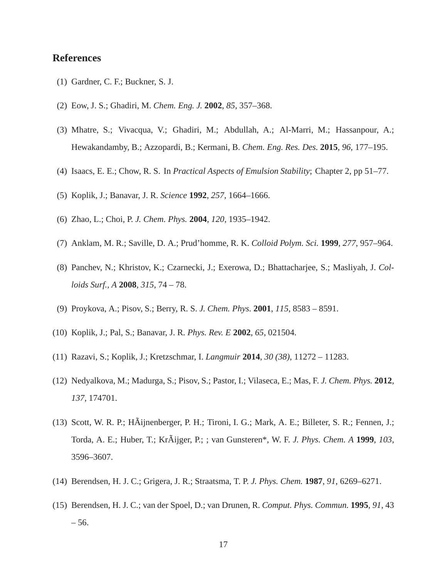#### **References**

- <span id="page-16-0"></span>(1) Gardner, C. F.; Buckner, S. J.
- <span id="page-16-1"></span>(2) Eow, J. S.; Ghadiri, M. *Chem. Eng. J.* **2002**, *85*, 357–368.
- <span id="page-16-2"></span>(3) Mhatre, S.; Vivacqua, V.; Ghadiri, M.; Abdullah, A.; Al-Marri, M.; Hassanpour, A.; Hewakandamby, B.; Azzopardi, B.; Kermani, B. *Chem. Eng. Res. Des.* **2015**, *96*, 177–195.
- <span id="page-16-3"></span>(4) Isaacs, E. E.; Chow, R. S. In *Practical Aspects of Emulsion Stability*; Chapter 2, pp 51–77.
- <span id="page-16-4"></span>(5) Koplik, J.; Banavar, J. R. *Science* **1992**, *257*, 1664–1666.
- <span id="page-16-5"></span>(6) Zhao, L.; Choi, P. *J. Chem. Phys.* **2004**, *120*, 1935–1942.
- <span id="page-16-6"></span>(7) Anklam, M. R.; Saville, D. A.; Prud'homme, R. K. *Colloid Polym. Sci.* **1999**, *277*, 957–964.
- <span id="page-16-7"></span>(8) Panchev, N.; Khristov, K.; Czarnecki, J.; Exerowa, D.; Bhattacharjee, S.; Masliyah, J. *Colloids Surf., A* **2008**, *315*, 74 – 78.
- <span id="page-16-8"></span>(9) Proykova, A.; Pisov, S.; Berry, R. S. *J. Chem. Phys.* **2001**, *115*, 8583 – 8591.
- <span id="page-16-9"></span>(10) Koplik, J.; Pal, S.; Banavar, J. R. *Phys. Rev. E* **2002**, *65*, 021504.
- (11) Razavi, S.; Koplik, J.; Kretzschmar, I. *Langmuir* **2014**, *30 (38)*, 11272 11283.
- <span id="page-16-10"></span>(12) Nedyalkova, M.; Madurga, S.; Pisov, S.; Pastor, I.; Vilaseca, E.; Mas, F. *J. Chem. Phys.* **2012**, *137*, 174701.
- (13) Scott, W. R. P.; HÃijnenberger, P. H.; Tironi, I. G.; Mark, A. E.; Billeter, S. R.; Fennen, J.; Torda, A. E.; Huber, T.; KrÃijger, P.; ; van Gunsteren\*, W. F. *J. Phys. Chem. A* **1999**, *103*, 3596–3607.
- (14) Berendsen, H. J. C.; Grigera, J. R.; Straatsma, T. P. *J. Phys. Chem.* **1987**, *91*, 6269–6271.
- <span id="page-16-11"></span>(15) Berendsen, H. J. C.; van der Spoel, D.; van Drunen, R. *Comput. Phys. Commun.* **1995**, *91*, 43 – 56.